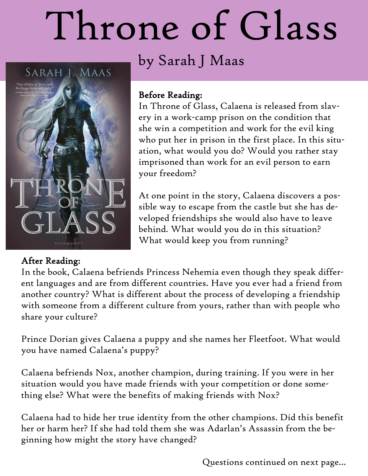# Throne of Glass

SARAH J. MAAS



# by Sarah J Maas

### Before Reading:

In Throne of Glass, Calaena is released from slavery in a work-camp prison on the condition that she win a competition and work for the evil king who put her in prison in the first place. In this situation, what would you do? Would you rather stay imprisoned than work for an evil person to earn your freedom?

At one point in the story, Calaena discovers a possible way to escape from the castle but she has developed friendships she would also have to leave behind. What would you do in this situation? What would keep you from running?

## After Reading:

In the book, Calaena befriends Princess Nehemia even though they speak different languages and are from different countries. Have you ever had a friend from another country? What is different about the process of developing a friendship with someone from a different culture from yours, rather than with people who share your culture?

Prince Dorian gives Calaena a puppy and she names her Fleetfoot. What would you have named Calaena's puppy?

Calaena befriends Nox, another champion, during training. If you were in her situation would you have made friends with your competition or done something else? What were the benefits of making friends with Nox?

Calaena had to hide her true identity from the other champions. Did this benefit her or harm her? If she had told them she was Adarlan's Assassin from the beginning how might the story have changed?

Questions continued on next page...